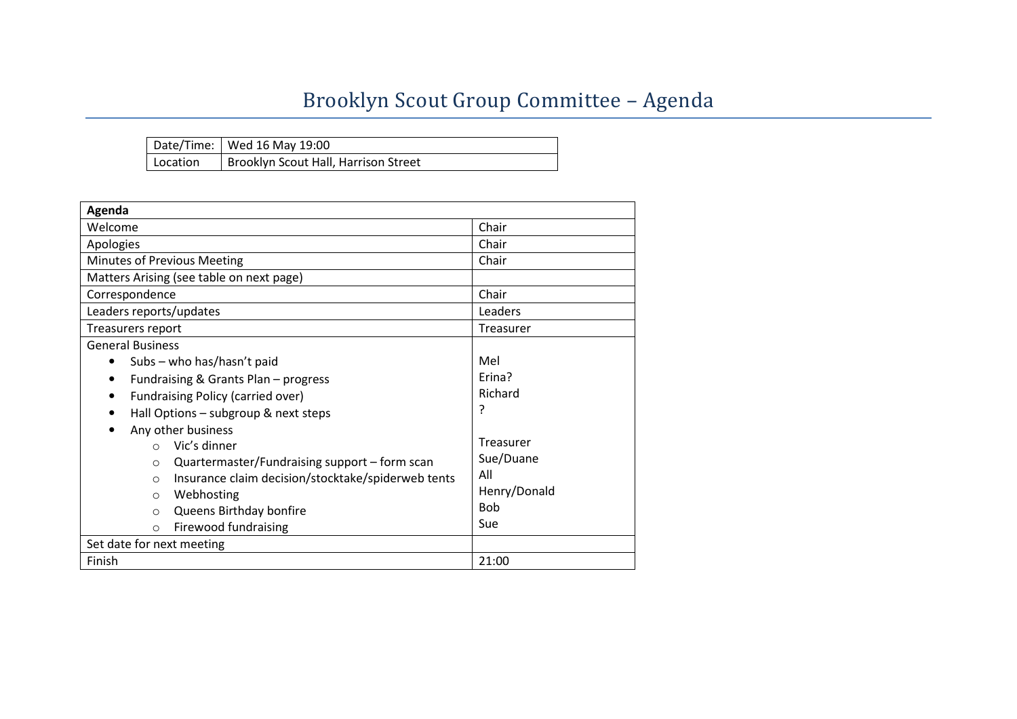## Brooklyn Scout Group Committee – Agenda

|          | Date/Time: Wed 16 May 19:00          |
|----------|--------------------------------------|
| Location | Brooklyn Scout Hall, Harrison Street |

| Agenda                                                         |              |  |  |  |
|----------------------------------------------------------------|--------------|--|--|--|
| Welcome                                                        | Chair        |  |  |  |
| Apologies                                                      | Chair        |  |  |  |
| Minutes of Previous Meeting                                    | Chair        |  |  |  |
| Matters Arising (see table on next page)                       |              |  |  |  |
| Correspondence                                                 | Chair        |  |  |  |
| Leaders reports/updates                                        | Leaders      |  |  |  |
| Treasurers report                                              | Treasurer    |  |  |  |
| <b>General Business</b>                                        |              |  |  |  |
| Subs - who has/hasn't paid<br>٠                                | Mel          |  |  |  |
| Fundraising & Grants Plan - progress<br>٠                      | Erina?       |  |  |  |
| Fundraising Policy (carried over)<br>٠                         | Richard      |  |  |  |
| P<br>Hall Options - subgroup & next steps                      |              |  |  |  |
| Any other business                                             |              |  |  |  |
| Vic's dinner<br>$\Omega$                                       | Treasurer    |  |  |  |
| Quartermaster/Fundraising support – form scan<br>$\circ$       | Sue/Duane    |  |  |  |
| Insurance claim decision/stocktake/spiderweb tents<br>$\Omega$ | All          |  |  |  |
| Webhosting<br>$\Omega$                                         | Henry/Donald |  |  |  |
| Queens Birthday bonfire<br>$\Omega$                            | <b>Bob</b>   |  |  |  |
| <b>Firewood fundraising</b><br>$\circ$                         | Sue          |  |  |  |
| Set date for next meeting                                      |              |  |  |  |
| Finish                                                         | 21:00        |  |  |  |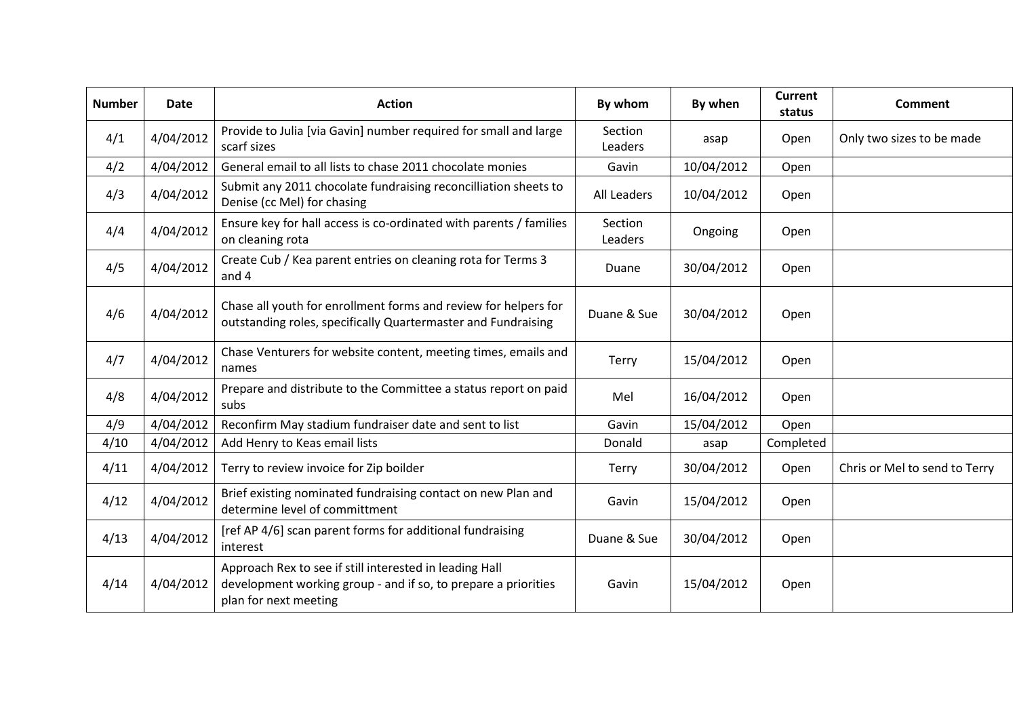| <b>Number</b> | Date      | <b>Action</b>                                                                                                                                      | By whom            | By when    | <b>Current</b><br>status | Comment                       |
|---------------|-----------|----------------------------------------------------------------------------------------------------------------------------------------------------|--------------------|------------|--------------------------|-------------------------------|
| 4/1           | 4/04/2012 | Provide to Julia [via Gavin] number required for small and large<br>scarf sizes                                                                    | Section<br>Leaders | asap       | Open                     | Only two sizes to be made     |
| 4/2           | 4/04/2012 | General email to all lists to chase 2011 chocolate monies                                                                                          | Gavin              | 10/04/2012 | Open                     |                               |
| 4/3           | 4/04/2012 | Submit any 2011 chocolate fundraising reconcilliation sheets to<br>Denise (cc Mel) for chasing                                                     | <b>All Leaders</b> | 10/04/2012 | Open                     |                               |
| 4/4           | 4/04/2012 | Ensure key for hall access is co-ordinated with parents / families<br>on cleaning rota                                                             | Section<br>Leaders | Ongoing    | Open                     |                               |
| 4/5           | 4/04/2012 | Create Cub / Kea parent entries on cleaning rota for Terms 3<br>and 4                                                                              | Duane              | 30/04/2012 | Open                     |                               |
| 4/6           | 4/04/2012 | Chase all youth for enrollment forms and review for helpers for<br>outstanding roles, specifically Quartermaster and Fundraising                   | Duane & Sue        | 30/04/2012 | Open                     |                               |
| 4/7           | 4/04/2012 | Chase Venturers for website content, meeting times, emails and<br>names                                                                            | <b>Terry</b>       | 15/04/2012 | Open                     |                               |
| 4/8           | 4/04/2012 | Prepare and distribute to the Committee a status report on paid<br>subs                                                                            | Mel                | 16/04/2012 | Open                     |                               |
| 4/9           | 4/04/2012 | Reconfirm May stadium fundraiser date and sent to list                                                                                             | Gavin              | 15/04/2012 | Open                     |                               |
| 4/10          | 4/04/2012 | Add Henry to Keas email lists                                                                                                                      | Donald             | asap       | Completed                |                               |
| 4/11          | 4/04/2012 | Terry to review invoice for Zip boilder                                                                                                            | <b>Terry</b>       | 30/04/2012 | Open                     | Chris or Mel to send to Terry |
| 4/12          | 4/04/2012 | Brief existing nominated fundraising contact on new Plan and<br>determine level of committment                                                     | Gavin              | 15/04/2012 | Open                     |                               |
| 4/13          | 4/04/2012 | [ref AP 4/6] scan parent forms for additional fundraising<br>interest                                                                              | Duane & Sue        | 30/04/2012 | Open                     |                               |
| 4/14          | 4/04/2012 | Approach Rex to see if still interested in leading Hall<br>development working group - and if so, to prepare a priorities<br>plan for next meeting | Gavin              | 15/04/2012 | Open                     |                               |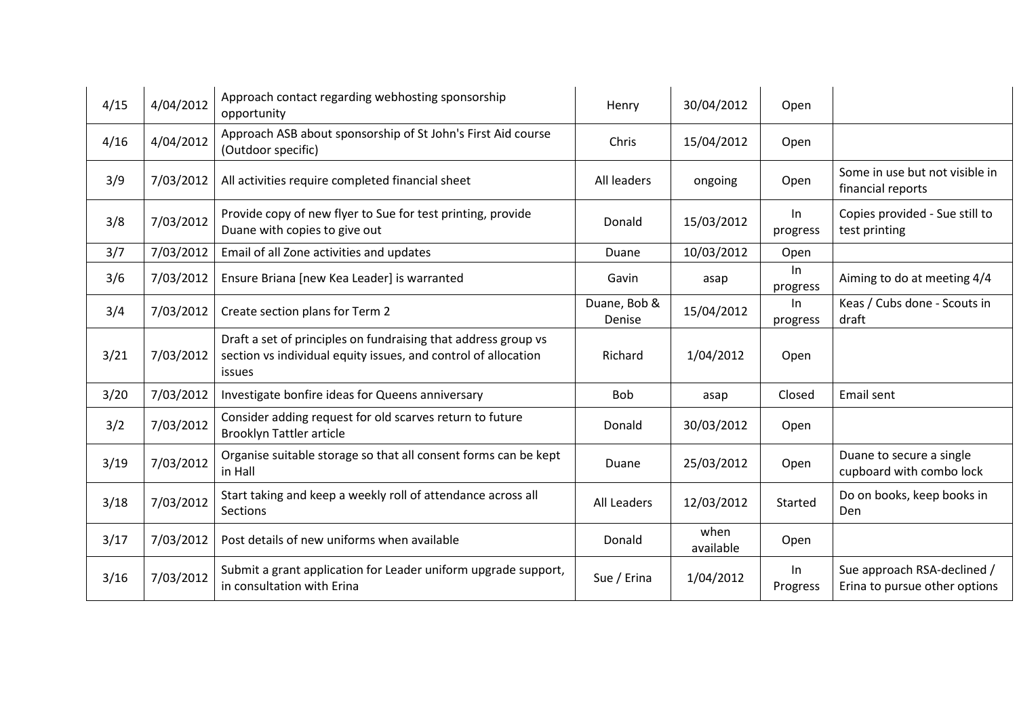| 4/15 | 4/04/2012 | Approach contact regarding webhosting sponsorship<br>opportunity                                                                           | Henry                  | 30/04/2012        | Open           |                                                              |
|------|-----------|--------------------------------------------------------------------------------------------------------------------------------------------|------------------------|-------------------|----------------|--------------------------------------------------------------|
| 4/16 | 4/04/2012 | Approach ASB about sponsorship of St John's First Aid course<br>(Outdoor specific)                                                         | Chris                  | 15/04/2012        | Open           |                                                              |
| 3/9  | 7/03/2012 | All activities require completed financial sheet                                                                                           | All leaders            | ongoing           | Open           | Some in use but not visible in<br>financial reports          |
| 3/8  | 7/03/2012 | Provide copy of new flyer to Sue for test printing, provide<br>Duane with copies to give out                                               | Donald                 | 15/03/2012        | In<br>progress | Copies provided - Sue still to<br>test printing              |
| 3/7  | 7/03/2012 | Email of all Zone activities and updates                                                                                                   | Duane                  | 10/03/2012        | Open           |                                                              |
| 3/6  | 7/03/2012 | Ensure Briana [new Kea Leader] is warranted                                                                                                | Gavin                  | asap              | In<br>progress | Aiming to do at meeting 4/4                                  |
| 3/4  | 7/03/2012 | Create section plans for Term 2                                                                                                            | Duane, Bob &<br>Denise | 15/04/2012        | In<br>progress | Keas / Cubs done - Scouts in<br>draft                        |
| 3/21 | 7/03/2012 | Draft a set of principles on fundraising that address group vs<br>section vs individual equity issues, and control of allocation<br>issues | Richard                | 1/04/2012         | Open           |                                                              |
| 3/20 | 7/03/2012 | Investigate bonfire ideas for Queens anniversary                                                                                           | <b>Bob</b>             | asap              | Closed         | Email sent                                                   |
| 3/2  | 7/03/2012 | Consider adding request for old scarves return to future<br><b>Brooklyn Tattler article</b>                                                | Donald                 | 30/03/2012        | Open           |                                                              |
| 3/19 | 7/03/2012 | Organise suitable storage so that all consent forms can be kept<br>in Hall                                                                 | Duane                  | 25/03/2012        | Open           | Duane to secure a single<br>cupboard with combo lock         |
| 3/18 | 7/03/2012 | Start taking and keep a weekly roll of attendance across all<br><b>Sections</b>                                                            | All Leaders            | 12/03/2012        | Started        | Do on books, keep books in<br><b>Den</b>                     |
| 3/17 | 7/03/2012 | Post details of new uniforms when available                                                                                                | Donald                 | when<br>available | Open           |                                                              |
| 3/16 | 7/03/2012 | Submit a grant application for Leader uniform upgrade support,<br>in consultation with Erina                                               | Sue / Erina            | 1/04/2012         | ln<br>Progress | Sue approach RSA-declined /<br>Erina to pursue other options |